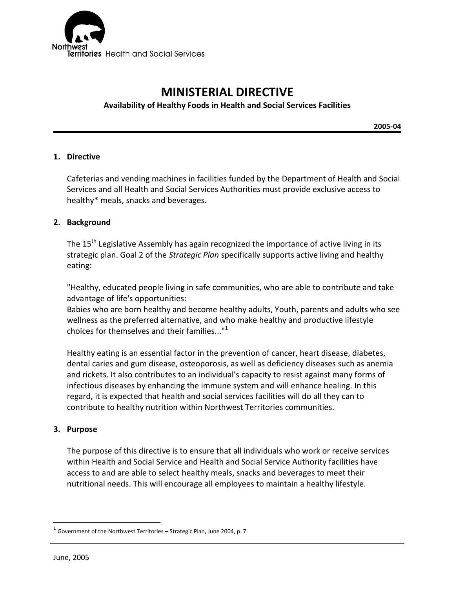

# **MINISTERIAL DIRECTIVE**

# **Availability of Healthy Foods in Health and Social Services Facilities**

**2005-04**

### **1. Directive**

Cafeterias and vending machines in facilities funded by the Department of Health and Social Services and all Health and Social Services Authorities must provide exclusive access to healthy\* meals, snacks and beverages.

### **2. Background**

The 15<sup>th</sup> Legislative Assembly has again recognized the importance of active living in its strategic plan. Goal 2 of the *Strategic Plan* specifically supports active living and healthy eating:

"Healthy, educated people living in safe communities, who are able to contribute and take advantage of life's opportunities:

Babies who are born healthy and become healthy adults, Youth, parents and adults who see wellness as the preferred alternative, and who make healthy and productive lifestyle choices for themselves and their families..."<sup>1</sup>

Healthy eating is an essential factor in the prevention of cancer, heart disease, diabetes, dental caries and gum disease, osteoporosis, as well as deficiency diseases such as anemia and rickets. It also contributes to an individual's capacity to resist against many forms of infectious diseases by enhancing the immune system and will enhance healing. In this regard, it is expected that health and social services facilities will do all they can to contribute to healthy nutrition within Northwest Territories communities.

## **3. Purpose**

The purpose of this directive is to ensure that all individuals who work or receive services within Health and Social Service and Health and Social Service Authority facilities have access to and are able to select healthy meals, snacks and beverages to meet their nutritional needs. This will encourage all employees to maintain a healthy lifestyle.

 $\overline{a}$ 

 $^1$  Government of the Northwest Territories – Strategic Plan, June 2004, p. 7